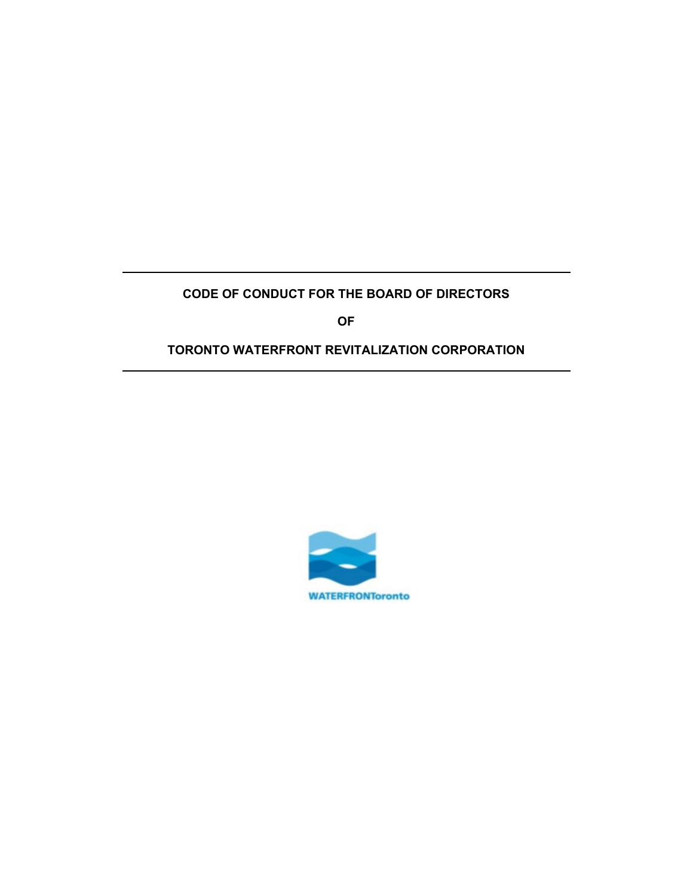# **CODE OF CONDUCT FOR THE BOARD OF DIRECTORS**

**OF**

# **TORONTO WATERFRONT REVITALIZATION CORPORATION**

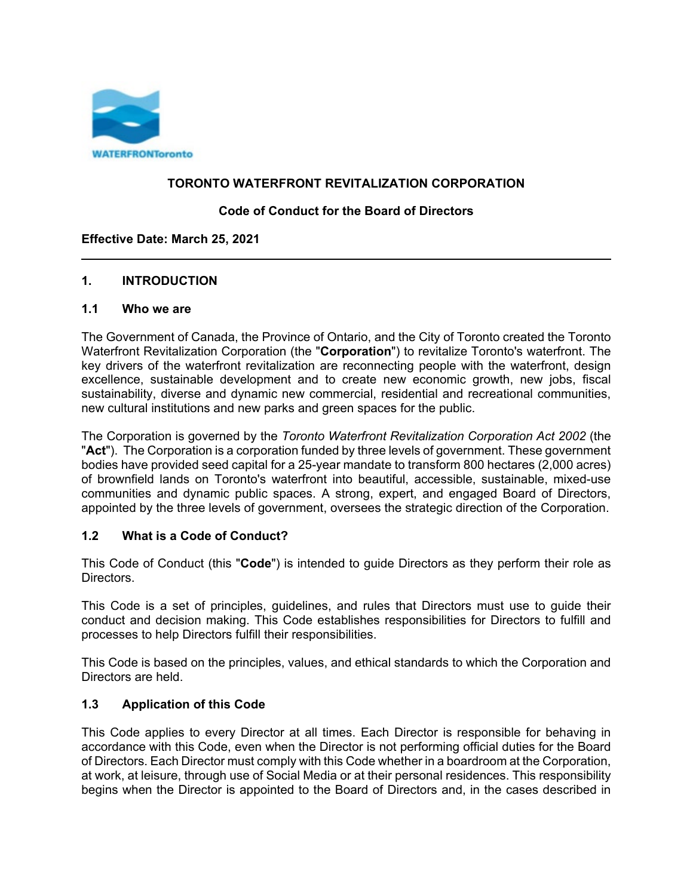

#### **TORONTO WATERFRONT REVITALIZATION CORPORATION**

#### **Code of Conduct for the Board of Directors**

#### **Effective Date: March 25, 2021**

#### **1. INTRODUCTION**

#### **1.1 Who we are**

The Government of Canada, the Province of Ontario, and the City of Toronto created the Toronto Waterfront Revitalization Corporation (the "**Corporation**") to revitalize Toronto's waterfront. The key drivers of the waterfront revitalization are reconnecting people with the waterfront, design excellence, sustainable development and to create new economic growth, new jobs, fiscal sustainability, diverse and dynamic new commercial, residential and recreational communities, new cultural institutions and new parks and green spaces for the public.

The Corporation is governed by the *Toronto Waterfront Revitalization Corporation Act 2002* (the "**Act**"). The Corporation is a corporation funded by three levels of government. These government bodies have provided seed capital for a 25-year mandate to transform 800 hectares (2,000 acres) of brownfield lands on Toronto's waterfront into beautiful, accessible, sustainable, mixed-use communities and dynamic public spaces. A strong, expert, and engaged Board of Directors, appointed by the three levels of government, oversees the strategic direction of the Corporation.

#### **1.2 What is a Code of Conduct?**

This Code of Conduct (this "**Code**") is intended to guide Directors as they perform their role as Directors.

This Code is a set of principles, guidelines, and rules that Directors must use to guide their conduct and decision making. This Code establishes responsibilities for Directors to fulfill and processes to help Directors fulfill their responsibilities.

This Code is based on the principles, values, and ethical standards to which the Corporation and Directors are held.

#### **1.3 Application of this Code**

This Code applies to every Director at all times. Each Director is responsible for behaving in accordance with this Code, even when the Director is not performing official duties for the Board of Directors. Each Director must comply with this Code whether in a boardroom at the Corporation, at work, at leisure, through use of Social Media or at their personal residences. This responsibility begins when the Director is appointed to the Board of Directors and, in the cases described in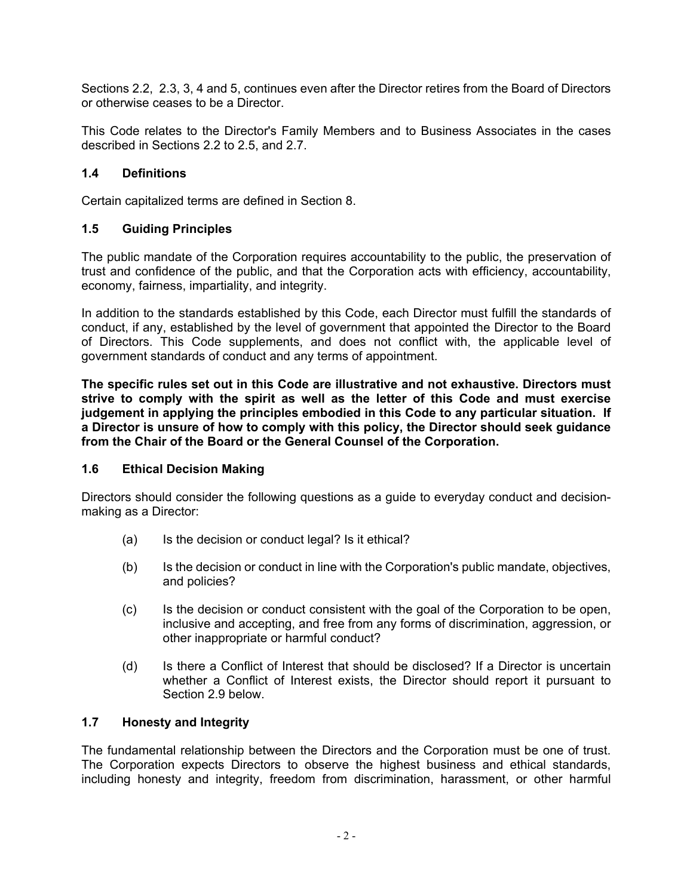Sections 2.2, [2.3,](#page-5-0) [3,](#page-9-0) [4](#page-9-1) and 5, continues even after the Director retires from the Board of Directors or otherwise ceases to be a Director.

This Code relates to the Director's Family Members and to Business Associates in the cases described in Sections [2.2](#page-4-0) to [2.5,](#page-6-0) and [2.7.](#page-6-1)

### **1.4 Definitions**

Certain capitalized terms are defined in Section [8.](#page-12-0)

#### **1.5 Guiding Principles**

The public mandate of the Corporation requires accountability to the public, the preservation of trust and confidence of the public, and that the Corporation acts with efficiency, accountability, economy, fairness, impartiality, and integrity.

In addition to the standards established by this Code, each Director must fulfill the standards of conduct, if any, established by the level of government that appointed the Director to the Board of Directors. This Code supplements, and does not conflict with, the applicable level of government standards of conduct and any terms of appointment.

**The specific rules set out in this Code are illustrative and not exhaustive. Directors must strive to comply with the spirit as well as the letter of this Code and must exercise judgement in applying the principles embodied in this Code to any particular situation. If a Director is unsure of how to comply with this policy, the Director should seek guidance from the Chair of the Board or the General Counsel of the Corporation.**

#### **1.6 Ethical Decision Making**

Directors should consider the following questions as a guide to everyday conduct and decisionmaking as a Director:

- (a) Is the decision or conduct legal? Is it ethical?
- (b) Is the decision or conduct in line with the Corporation's public mandate, objectives, and policies?
- (c) Is the decision or conduct consistent with the goal of the Corporation to be open, inclusive and accepting, and free from any forms of discrimination, aggression, or other inappropriate or harmful conduct?
- (d) Is there a Conflict of Interest that should be disclosed? If a Director is uncertain whether a Conflict of Interest exists, the Director should report it pursuant to Section [2.9](#page-7-0) below.

# **1.7 Honesty and Integrity**

The fundamental relationship between the Directors and the Corporation must be one of trust. The Corporation expects Directors to observe the highest business and ethical standards, including honesty and integrity, freedom from discrimination, harassment, or other harmful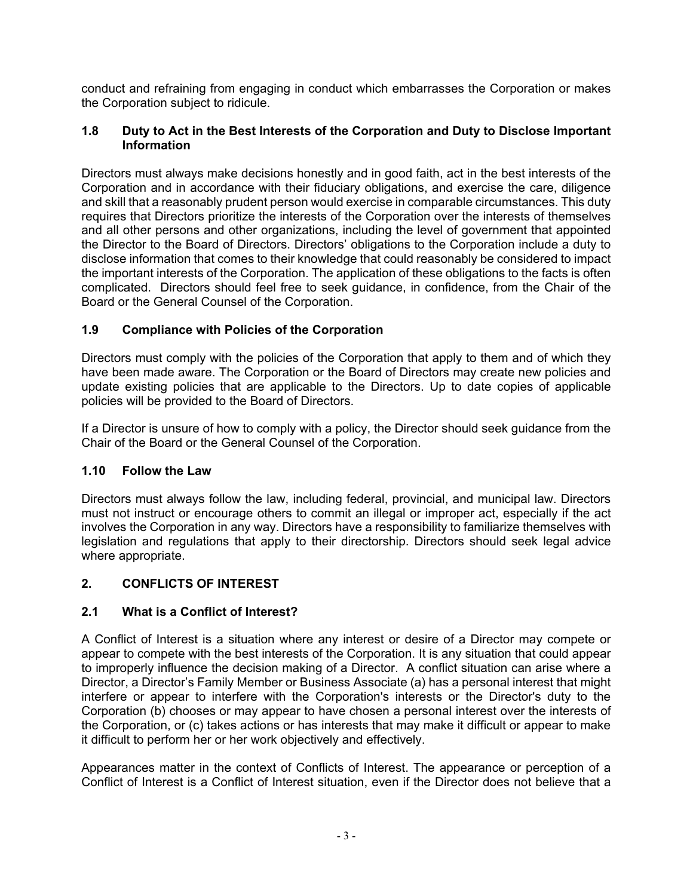conduct and refraining from engaging in conduct which embarrasses the Corporation or makes the Corporation subject to ridicule.

### **1.8 Duty to Act in the Best Interests of the Corporation and Duty to Disclose Important Information**

Directors must always make decisions honestly and in good faith, act in the best interests of the Corporation and in accordance with their fiduciary obligations, and exercise the care, diligence and skill that a reasonably prudent person would exercise in comparable circumstances. This duty requires that Directors prioritize the interests of the Corporation over the interests of themselves and all other persons and other organizations, including the level of government that appointed the Director to the Board of Directors. Directors' obligations to the Corporation include a duty to disclose information that comes to their knowledge that could reasonably be considered to impact the important interests of the Corporation. The application of these obligations to the facts is often complicated. Directors should feel free to seek guidance, in confidence, from the Chair of the Board or the General Counsel of the Corporation.

# **1.9 Compliance with Policies of the Corporation**

Directors must comply with the policies of the Corporation that apply to them and of which they have been made aware. The Corporation or the Board of Directors may create new policies and update existing policies that are applicable to the Directors. Up to date copies of applicable policies will be provided to the Board of Directors.

If a Director is unsure of how to comply with a policy, the Director should seek guidance from the Chair of the Board or the General Counsel of the Corporation.

## **1.10 Follow the Law**

Directors must always follow the law, including federal, provincial, and municipal law. Directors must not instruct or encourage others to commit an illegal or improper act, especially if the act involves the Corporation in any way. Directors have a responsibility to familiarize themselves with legislation and regulations that apply to their directorship. Directors should seek legal advice where appropriate.

## <span id="page-3-0"></span>**2. CONFLICTS OF INTEREST**

## **2.1 What is a Conflict of Interest?**

A Conflict of Interest is a situation where any interest or desire of a Director may compete or appear to compete with the best interests of the Corporation. It is any situation that could appear to improperly influence the decision making of a Director. A conflict situation can arise where a Director, a Director's Family Member or Business Associate (a) has a personal interest that might interfere or appear to interfere with the Corporation's interests or the Director's duty to the Corporation (b) chooses or may appear to have chosen a personal interest over the interests of the Corporation, or (c) takes actions or has interests that may make it difficult or appear to make it difficult to perform her or her work objectively and effectively.

Appearances matter in the context of Conflicts of Interest. The appearance or perception of a Conflict of Interest is a Conflict of Interest situation, even if the Director does not believe that a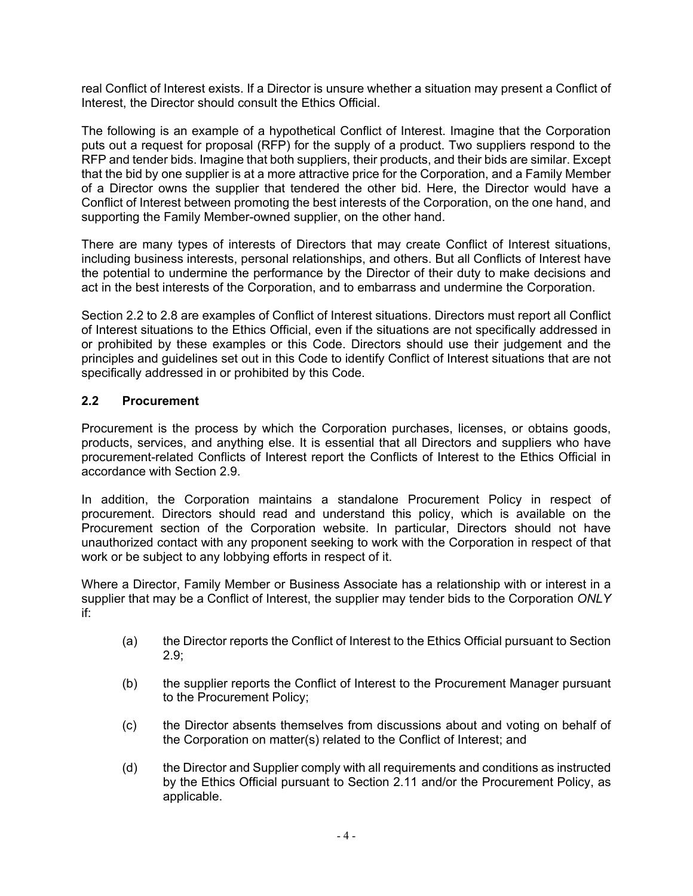real Conflict of Interest exists. If a Director is unsure whether a situation may present a Conflict of Interest, the Director should consult the Ethics Official.

The following is an example of a hypothetical Conflict of Interest. Imagine that the Corporation puts out a request for proposal (RFP) for the supply of a product. Two suppliers respond to the RFP and tender bids. Imagine that both suppliers, their products, and their bids are similar. Except that the bid by one supplier is at a more attractive price for the Corporation, and a Family Member of a Director owns the supplier that tendered the other bid. Here, the Director would have a Conflict of Interest between promoting the best interests of the Corporation, on the one hand, and supporting the Family Member-owned supplier, on the other hand.

There are many types of interests of Directors that may create Conflict of Interest situations, including business interests, personal relationships, and others. But all Conflicts of Interest have the potential to undermine the performance by the Director of their duty to make decisions and act in the best interests of the Corporation, and to embarrass and undermine the Corporation.

Section [2.2](#page-4-0) to [2.8](#page-7-1) are examples of Conflict of Interest situations. Directors must report all Conflict of Interest situations to the Ethics Official, even if the situations are not specifically addressed in or prohibited by these examples or this Code. Directors should use their judgement and the principles and guidelines set out in this Code to identify Conflict of Interest situations that are not specifically addressed in or prohibited by this Code.

### <span id="page-4-0"></span>**2.2 Procurement**

Procurement is the process by which the Corporation purchases, licenses, or obtains goods, products, services, and anything else. It is essential that all Directors and suppliers who have procurement-related Conflicts of Interest report the Conflicts of Interest to the Ethics Official in accordance with Section [2.9.](#page-7-0)

In addition, the Corporation maintains a standalone Procurement Policy in respect of procurement. Directors should read and understand this policy, which is available on the Procurement section of the Corporation website. In particular, Directors should not have unauthorized contact with any proponent seeking to work with the Corporation in respect of that work or be subject to any lobbying efforts in respect of it.

Where a Director, Family Member or Business Associate has a relationship with or interest in a supplier that may be a Conflict of Interest, the supplier may tender bids to the Corporation *ONLY* if:

- (a) the Director reports the Conflict of Interest to the Ethics Official pursuant to Section [2.9;](#page-7-0)
- (b) the supplier reports the Conflict of Interest to the Procurement Manager pursuant to the Procurement Policy;
- (c) the Director absents themselves from discussions about and voting on behalf of the Corporation on matter(s) related to the Conflict of Interest; and
- (d) the Director and Supplier comply with all requirements and conditions as instructed by the Ethics Official pursuant to Section [2.11](#page-8-0) and/or the Procurement Policy, as applicable.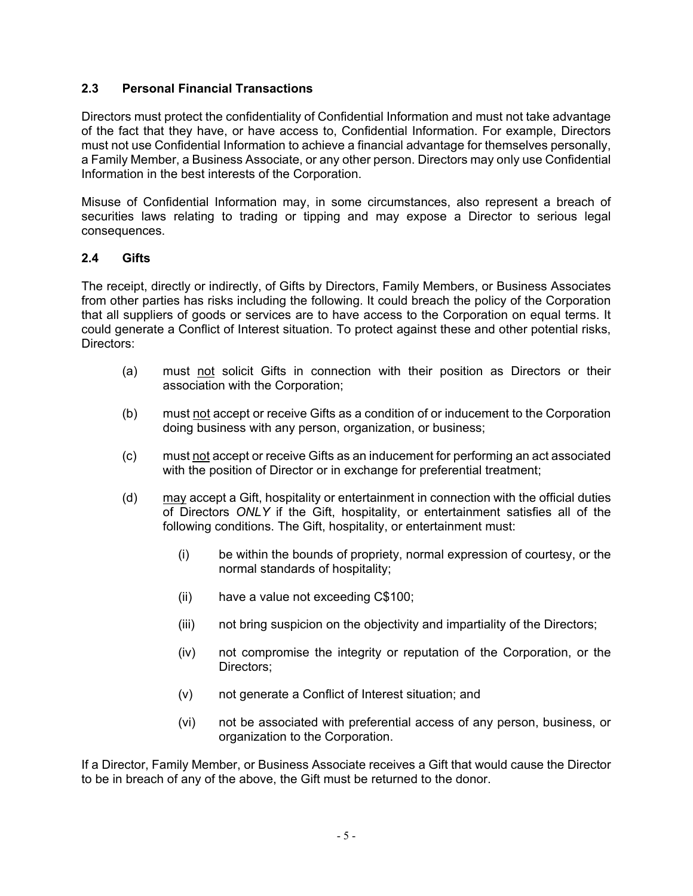### <span id="page-5-0"></span>**2.3 Personal Financial Transactions**

Directors must protect the confidentiality of Confidential Information and must not take advantage of the fact that they have, or have access to, Confidential Information. For example, Directors must not use Confidential Information to achieve a financial advantage for themselves personally, a Family Member, a Business Associate, or any other person. Directors may only use Confidential Information in the best interests of the Corporation.

Misuse of Confidential Information may, in some circumstances, also represent a breach of securities laws relating to trading or tipping and may expose a Director to serious legal consequences.

#### **2.4 Gifts**

The receipt, directly or indirectly, of Gifts by Directors, Family Members, or Business Associates from other parties has risks including the following. It could breach the policy of the Corporation that all suppliers of goods or services are to have access to the Corporation on equal terms. It could generate a Conflict of Interest situation. To protect against these and other potential risks, Directors:

- (a) must not solicit Gifts in connection with their position as Directors or their association with the Corporation;
- (b) must not accept or receive Gifts as a condition of or inducement to the Corporation doing business with any person, organization, or business;
- (c) must not accept or receive Gifts as an inducement for performing an act associated with the position of Director or in exchange for preferential treatment;
- (d)  $\frac{may}{.}$  accept a Gift, hospitality or entertainment in connection with the official duties of Directors *ONLY* if the Gift, hospitality, or entertainment satisfies all of the following conditions. The Gift, hospitality, or entertainment must:
	- (i) be within the bounds of propriety, normal expression of courtesy, or the normal standards of hospitality;
	- (ii) have a value not exceeding C\$100;
	- (iii) not bring suspicion on the objectivity and impartiality of the Directors;
	- (iv) not compromise the integrity or reputation of the Corporation, or the Directors;
	- (v) not generate a Conflict of Interest situation; and
	- (vi) not be associated with preferential access of any person, business, or organization to the Corporation.

If a Director, Family Member, or Business Associate receives a Gift that would cause the Director to be in breach of any of the above, the Gift must be returned to the donor.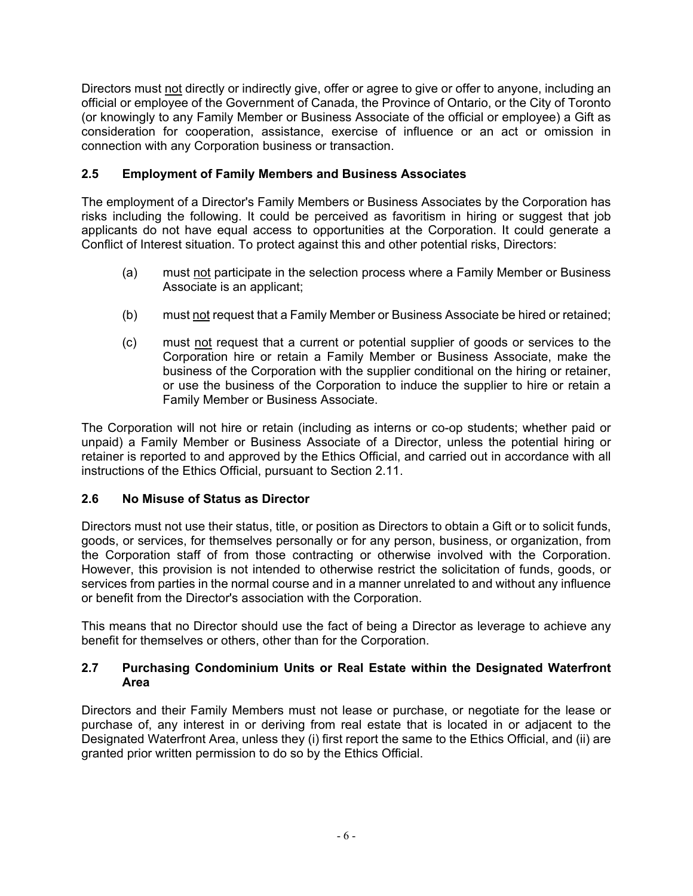Directors must not directly or indirectly give, offer or agree to give or offer to anyone, including an official or employee of the Government of Canada, the Province of Ontario, or the City of Toronto (or knowingly to any Family Member or Business Associate of the official or employee) a Gift as consideration for cooperation, assistance, exercise of influence or an act or omission in connection with any Corporation business or transaction.

## <span id="page-6-0"></span>**2.5 Employment of Family Members and Business Associates**

The employment of a Director's Family Members or Business Associates by the Corporation has risks including the following. It could be perceived as favoritism in hiring or suggest that job applicants do not have equal access to opportunities at the Corporation. It could generate a Conflict of Interest situation. To protect against this and other potential risks, Directors:

- (a) must not participate in the selection process where a Family Member or Business Associate is an applicant;
- (b) must not request that a Family Member or Business Associate be hired or retained;
- (c) must not request that a current or potential supplier of goods or services to the Corporation hire or retain a Family Member or Business Associate, make the business of the Corporation with the supplier conditional on the hiring or retainer, or use the business of the Corporation to induce the supplier to hire or retain a Family Member or Business Associate.

The Corporation will not hire or retain (including as interns or co-op students; whether paid or unpaid) a Family Member or Business Associate of a Director, unless the potential hiring or retainer is reported to and approved by the Ethics Official, and carried out in accordance with all instructions of the Ethics Official, pursuant to Section [2.11.](#page-8-0)

## **2.6 No Misuse of Status as Director**

Directors must not use their status, title, or position as Directors to obtain a Gift or to solicit funds, goods, or services, for themselves personally or for any person, business, or organization, from the Corporation staff of from those contracting or otherwise involved with the Corporation. However, this provision is not intended to otherwise restrict the solicitation of funds, goods, or services from parties in the normal course and in a manner unrelated to and without any influence or benefit from the Director's association with the Corporation.

This means that no Director should use the fact of being a Director as leverage to achieve any benefit for themselves or others, other than for the Corporation.

### <span id="page-6-1"></span>**2.7 Purchasing Condominium Units or Real Estate within the Designated Waterfront Area**

Directors and their Family Members must not lease or purchase, or negotiate for the lease or purchase of, any interest in or deriving from real estate that is located in or adjacent to the Designated Waterfront Area, unless they (i) first report the same to the Ethics Official, and (ii) are granted prior written permission to do so by the Ethics Official.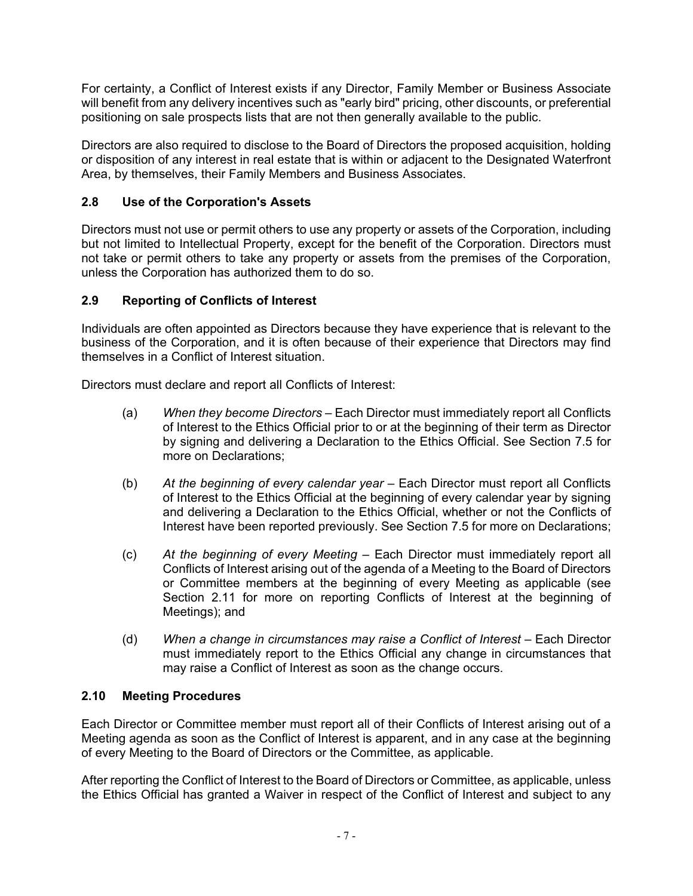For certainty, a Conflict of Interest exists if any Director, Family Member or Business Associate will benefit from any delivery incentives such as "early bird" pricing, other discounts, or preferential positioning on sale prospects lists that are not then generally available to the public.

Directors are also required to disclose to the Board of Directors the proposed acquisition, holding or disposition of any interest in real estate that is within or adjacent to the Designated Waterfront Area, by themselves, their Family Members and Business Associates.

## <span id="page-7-1"></span>**2.8 Use of the Corporation's Assets**

Directors must not use or permit others to use any property or assets of the Corporation, including but not limited to Intellectual Property, except for the benefit of the Corporation. Directors must not take or permit others to take any property or assets from the premises of the Corporation, unless the Corporation has authorized them to do so.

## <span id="page-7-0"></span>**2.9 Reporting of Conflicts of Interest**

Individuals are often appointed as Directors because they have experience that is relevant to the business of the Corporation, and it is often because of their experience that Directors may find themselves in a Conflict of Interest situation.

Directors must declare and report all Conflicts of Interest:

- (a) *When they become Directors*  Each Director must immediately report all Conflicts of Interest to the Ethics Official prior to or at the beginning of their term as Director by signing and delivering a Declaration to the Ethics Official. See Section [7.5](#page-12-1) for more on Declarations;
- (b) *At the beginning of every calendar year*  Each Director must report all Conflicts of Interest to the Ethics Official at the beginning of every calendar year by signing and delivering a Declaration to the Ethics Official, whether or not the Conflicts of Interest have been reported previously. See Section [7.5](#page-12-1) for more on Declarations;
- (c) *At the beginning of every Meeting* Each Director must immediately report all Conflicts of Interest arising out of the agenda of a Meeting to the Board of Directors or Committee members at the beginning of every Meeting as applicable (see Section [2.11](#page-8-0) for more on reporting Conflicts of Interest at the beginning of Meetings); and
- (d) When a change in circumstances may raise a Conflict of Interest Each Director must immediately report to the Ethics Official any change in circumstances that may raise a Conflict of Interest as soon as the change occurs.

## **2.10 Meeting Procedures**

Each Director or Committee member must report all of their Conflicts of Interest arising out of a Meeting agenda as soon as the Conflict of Interest is apparent, and in any case at the beginning of every Meeting to the Board of Directors or the Committee, as applicable.

After reporting the Conflict of Interest to the Board of Directors or Committee, as applicable, unless the Ethics Official has granted a Waiver in respect of the Conflict of Interest and subject to any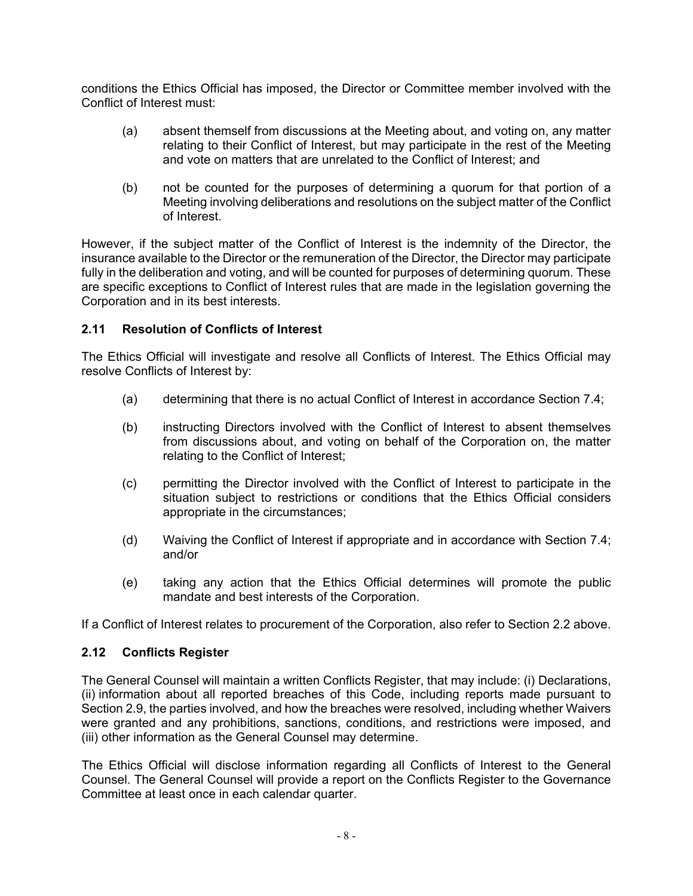conditions the Ethics Official has imposed, the Director or Committee member involved with the Conflict of Interest must:

- (a) absent themself from discussions at the Meeting about, and voting on, any matter relating to their Conflict of Interest, but may participate in the rest of the Meeting and vote on matters that are unrelated to the Conflict of Interest; and
- (b) not be counted for the purposes of determining a quorum for that portion of a Meeting involving deliberations and resolutions on the subject matter of the Conflict of Interest.

However, if the subject matter of the Conflict of Interest is the indemnity of the Director, the insurance available to the Director or the remuneration of the Director, the Director may participate fully in the deliberation and voting, and will be counted for purposes of determining quorum. These are specific exceptions to Conflict of Interest rules that are made in the legislation governing the Corporation and in its best interests.

### <span id="page-8-0"></span>**2.11 Resolution of Conflicts of Interest**

The Ethics Official will investigate and resolve all Conflicts of Interest. The Ethics Official may resolve Conflicts of Interest by:

- (a) determining that there is no actual Conflict of Interest in accordance Section [7.4;](#page-11-0)
- (b) instructing Directors involved with the Conflict of Interest to absent themselves from discussions about, and voting on behalf of the Corporation on, the matter relating to the Conflict of Interest;
- (c) permitting the Director involved with the Conflict of Interest to participate in the situation subject to restrictions or conditions that the Ethics Official considers appropriate in the circumstances;
- (d) Waiving the Conflict of Interest if appropriate and in accordance with Section [7.4;](#page-11-0) and/or
- (e) taking any action that the Ethics Official determines will promote the public mandate and best interests of the Corporation.

If a Conflict of Interest relates to procurement of the Corporation, also refer to Section [2.2](#page-4-0) above.

#### **2.12 Conflicts Register**

The General Counsel will maintain a written Conflicts Register, that may include: (i) Declarations, (ii) information about all reported breaches of this Code, including reports made pursuant to Section [2.9,](#page-7-0) the parties involved, and how the breaches were resolved, including whether Waivers were granted and any prohibitions, sanctions, conditions, and restrictions were imposed, and (iii) other information as the General Counsel may determine.

The Ethics Official will disclose information regarding all Conflicts of Interest to the General Counsel. The General Counsel will provide a report on the Conflicts Register to the Governance Committee at least once in each calendar quarter.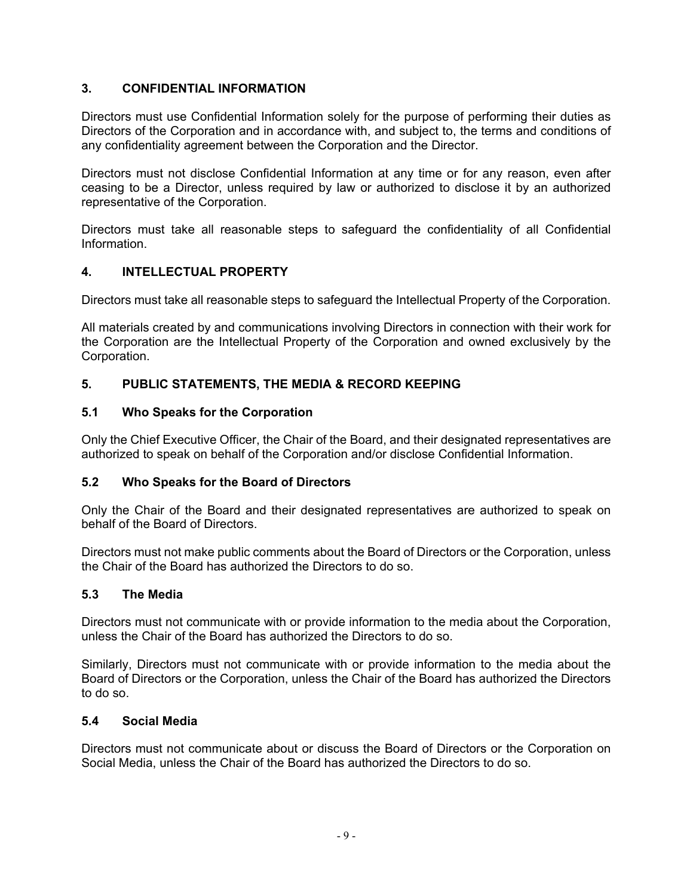## <span id="page-9-0"></span>**3. CONFIDENTIAL INFORMATION**

Directors must use Confidential Information solely for the purpose of performing their duties as Directors of the Corporation and in accordance with, and subject to, the terms and conditions of any confidentiality agreement between the Corporation and the Director.

Directors must not disclose Confidential Information at any time or for any reason, even after ceasing to be a Director, unless required by law or authorized to disclose it by an authorized representative of the Corporation.

Directors must take all reasonable steps to safeguard the confidentiality of all Confidential Information.

### <span id="page-9-1"></span>**4. INTELLECTUAL PROPERTY**

Directors must take all reasonable steps to safeguard the Intellectual Property of the Corporation.

All materials created by and communications involving Directors in connection with their work for the Corporation are the Intellectual Property of the Corporation and owned exclusively by the Corporation.

### **5. PUBLIC STATEMENTS, THE MEDIA & RECORD KEEPING**

#### **5.1 Who Speaks for the Corporation**

Only the Chief Executive Officer, the Chair of the Board, and their designated representatives are authorized to speak on behalf of the Corporation and/or disclose Confidential Information.

#### **5.2 Who Speaks for the Board of Directors**

Only the Chair of the Board and their designated representatives are authorized to speak on behalf of the Board of Directors.

Directors must not make public comments about the Board of Directors or the Corporation, unless the Chair of the Board has authorized the Directors to do so.

#### **5.3 The Media**

Directors must not communicate with or provide information to the media about the Corporation, unless the Chair of the Board has authorized the Directors to do so.

Similarly, Directors must not communicate with or provide information to the media about the Board of Directors or the Corporation, unless the Chair of the Board has authorized the Directors to do so.

#### **5.4 Social Media**

Directors must not communicate about or discuss the Board of Directors or the Corporation on Social Media, unless the Chair of the Board has authorized the Directors to do so.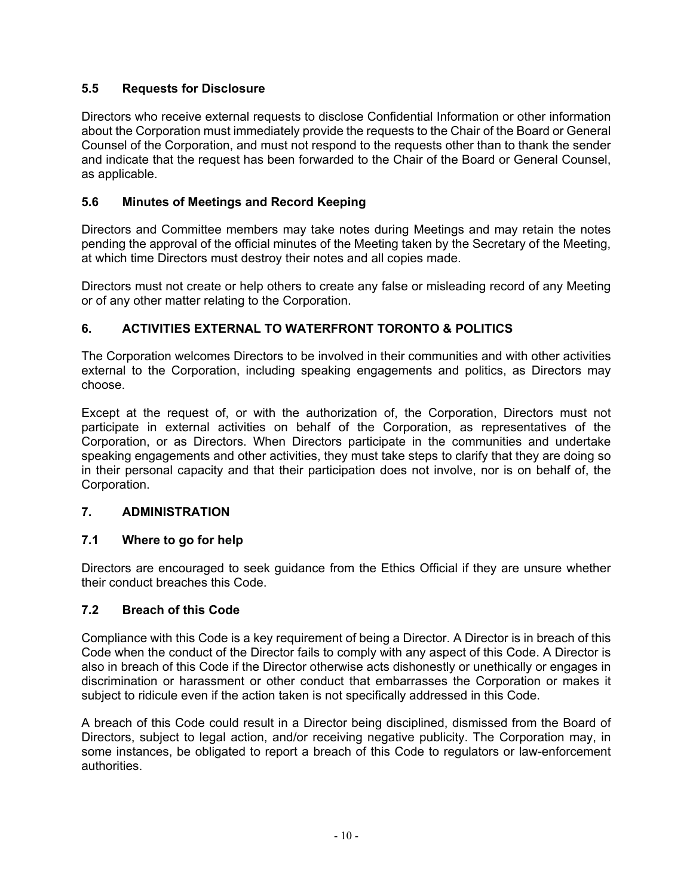## **5.5 Requests for Disclosure**

Directors who receive external requests to disclose Confidential Information or other information about the Corporation must immediately provide the requests to the Chair of the Board or General Counsel of the Corporation, and must not respond to the requests other than to thank the sender and indicate that the request has been forwarded to the Chair of the Board or General Counsel, as applicable.

## **5.6 Minutes of Meetings and Record Keeping**

Directors and Committee members may take notes during Meetings and may retain the notes pending the approval of the official minutes of the Meeting taken by the Secretary of the Meeting, at which time Directors must destroy their notes and all copies made.

Directors must not create or help others to create any false or misleading record of any Meeting or of any other matter relating to the Corporation.

# **6. ACTIVITIES EXTERNAL TO WATERFRONT TORONTO & POLITICS**

The Corporation welcomes Directors to be involved in their communities and with other activities external to the Corporation, including speaking engagements and politics, as Directors may choose.

Except at the request of, or with the authorization of, the Corporation, Directors must not participate in external activities on behalf of the Corporation, as representatives of the Corporation, or as Directors. When Directors participate in the communities and undertake speaking engagements and other activities, they must take steps to clarify that they are doing so in their personal capacity and that their participation does not involve, nor is on behalf of, the Corporation.

## **7. ADMINISTRATION**

## **7.1 Where to go for help**

Directors are encouraged to seek guidance from the Ethics Official if they are unsure whether their conduct breaches this Code.

## **7.2 Breach of this Code**

Compliance with this Code is a key requirement of being a Director. A Director is in breach of this Code when the conduct of the Director fails to comply with any aspect of this Code. A Director is also in breach of this Code if the Director otherwise acts dishonestly or unethically or engages in discrimination or harassment or other conduct that embarrasses the Corporation or makes it subject to ridicule even if the action taken is not specifically addressed in this Code.

A breach of this Code could result in a Director being disciplined, dismissed from the Board of Directors, subject to legal action, and/or receiving negative publicity. The Corporation may, in some instances, be obligated to report a breach of this Code to regulators or law-enforcement authorities.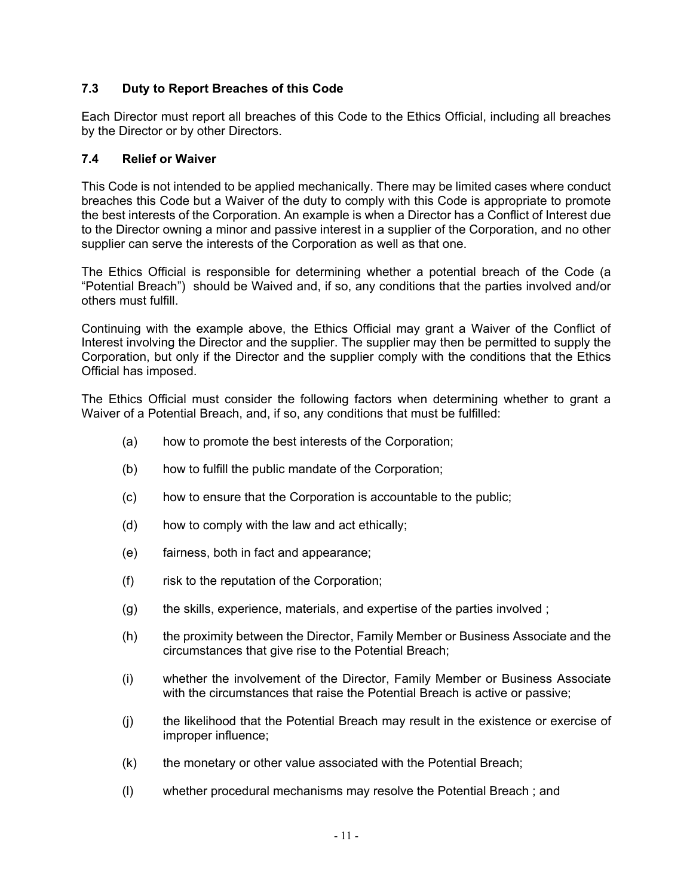## **7.3 Duty to Report Breaches of this Code**

Each Director must report all breaches of this Code to the Ethics Official, including all breaches by the Director or by other Directors.

#### <span id="page-11-0"></span>**7.4 Relief or Waiver**

This Code is not intended to be applied mechanically. There may be limited cases where conduct breaches this Code but a Waiver of the duty to comply with this Code is appropriate to promote the best interests of the Corporation. An example is when a Director has a Conflict of Interest due to the Director owning a minor and passive interest in a supplier of the Corporation, and no other supplier can serve the interests of the Corporation as well as that one.

The Ethics Official is responsible for determining whether a potential breach of the Code (a "Potential Breach") should be Waived and, if so, any conditions that the parties involved and/or others must fulfill.

Continuing with the example above, the Ethics Official may grant a Waiver of the Conflict of Interest involving the Director and the supplier. The supplier may then be permitted to supply the Corporation, but only if the Director and the supplier comply with the conditions that the Ethics Official has imposed.

The Ethics Official must consider the following factors when determining whether to grant a Waiver of a Potential Breach, and, if so, any conditions that must be fulfilled:

- (a) how to promote the best interests of the Corporation;
- (b) how to fulfill the public mandate of the Corporation;
- (c) how to ensure that the Corporation is accountable to the public;
- (d) how to comply with the law and act ethically;
- (e) fairness, both in fact and appearance;
- (f) risk to the reputation of the Corporation;
- (g) the skills, experience, materials, and expertise of the parties involved ;
- (h) the proximity between the Director, Family Member or Business Associate and the circumstances that give rise to the Potential Breach;
- (i) whether the involvement of the Director, Family Member or Business Associate with the circumstances that raise the Potential Breach is active or passive;
- (j) the likelihood that the Potential Breach may result in the existence or exercise of improper influence;
- (k) the monetary or other value associated with the Potential Breach;
- (l) whether procedural mechanisms may resolve the Potential Breach ; and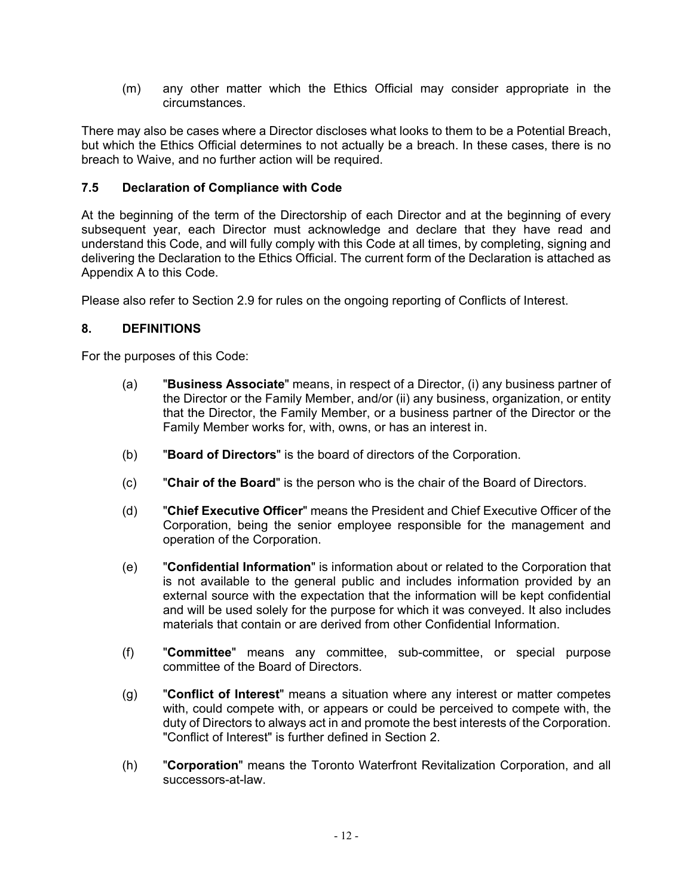(m) any other matter which the Ethics Official may consider appropriate in the circumstances.

There may also be cases where a Director discloses what looks to them to be a Potential Breach, but which the Ethics Official determines to not actually be a breach. In these cases, there is no breach to Waive, and no further action will be required.

### <span id="page-12-1"></span>**7.5 Declaration of Compliance with Code**

At the beginning of the term of the Directorship of each Director and at the beginning of every subsequent year, each Director must acknowledge and declare that they have read and understand this Code, and will fully comply with this Code at all times, by completing, signing and delivering the Declaration to the Ethics Official. The current form of the Declaration is attached as Appendix A to this Code.

Please also refer to Section [2.9](#page-7-0) for rules on the ongoing reporting of Conflicts of Interest.

#### <span id="page-12-0"></span>**8. DEFINITIONS**

For the purposes of this Code:

- (a) "**Business Associate**" means, in respect of a Director, (i) any business partner of the Director or the Family Member, and/or (ii) any business, organization, or entity that the Director, the Family Member, or a business partner of the Director or the Family Member works for, with, owns, or has an interest in.
- (b) "**Board of Directors**" is the board of directors of the Corporation.
- (c) "**Chair of the Board**" is the person who is the chair of the Board of Directors.
- (d) "**Chief Executive Officer**" means the President and Chief Executive Officer of the Corporation, being the senior employee responsible for the management and operation of the Corporation.
- (e) "**Confidential Information**" is information about or related to the Corporation that is not available to the general public and includes information provided by an external source with the expectation that the information will be kept confidential and will be used solely for the purpose for which it was conveyed. It also includes materials that contain or are derived from other Confidential Information.
- (f) "**Committee**" means any committee, sub-committee, or special purpose committee of the Board of Directors.
- (g) "**Conflict of Interest**" means a situation where any interest or matter competes with, could compete with, or appears or could be perceived to compete with, the duty of Directors to always act in and promote the best interests of the Corporation. "Conflict of Interest" is further defined in Section [2.](#page-3-0)
- (h) "**Corporation**" means the Toronto Waterfront Revitalization Corporation, and all successors-at-law.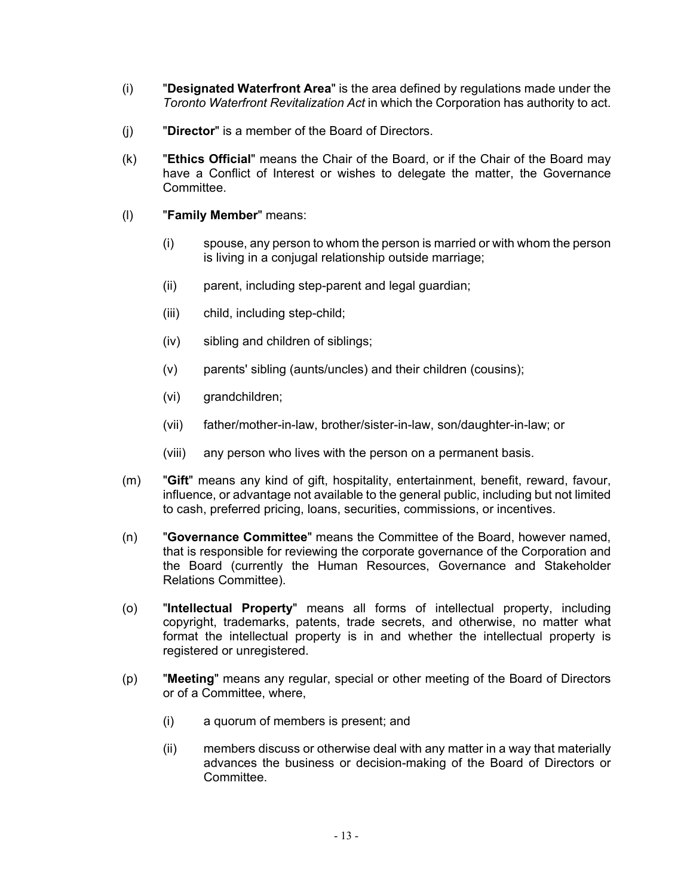- (i) "**Designated Waterfront Area**" is the area defined by regulations made under the *Toronto Waterfront Revitalization Act* in which the Corporation has authority to act.
- (j) "**Director**" is a member of the Board of Directors.
- (k) "**Ethics Official**" means the Chair of the Board, or if the Chair of the Board may have a Conflict of Interest or wishes to delegate the matter, the Governance Committee.
- (l) "**Family Member**" means:
	- (i) spouse, any person to whom the person is married or with whom the person is living in a conjugal relationship outside marriage;
	- (ii) parent, including step-parent and legal guardian;
	- (iii) child, including step-child;
	- (iv) sibling and children of siblings;
	- (v) parents' sibling (aunts/uncles) and their children (cousins);
	- (vi) grandchildren;
	- (vii) father/mother-in-law, brother/sister-in-law, son/daughter-in-law; or
	- (viii) any person who lives with the person on a permanent basis.
- (m) "**Gift**" means any kind of gift, hospitality, entertainment, benefit, reward, favour, influence, or advantage not available to the general public, including but not limited to cash, preferred pricing, loans, securities, commissions, or incentives.
- (n) "**Governance Committee**" means the Committee of the Board, however named, that is responsible for reviewing the corporate governance of the Corporation and the Board (currently the Human Resources, Governance and Stakeholder Relations Committee).
- (o) "**Intellectual Property**" means all forms of intellectual property, including copyright, trademarks, patents, trade secrets, and otherwise, no matter what format the intellectual property is in and whether the intellectual property is registered or unregistered.
- (p) "**Meeting**" means any regular, special or other meeting of the Board of Directors or of a Committee, where,
	- (i) a quorum of members is present; and
	- (ii) members discuss or otherwise deal with any matter in a way that materially advances the business or decision-making of the Board of Directors or **Committee.**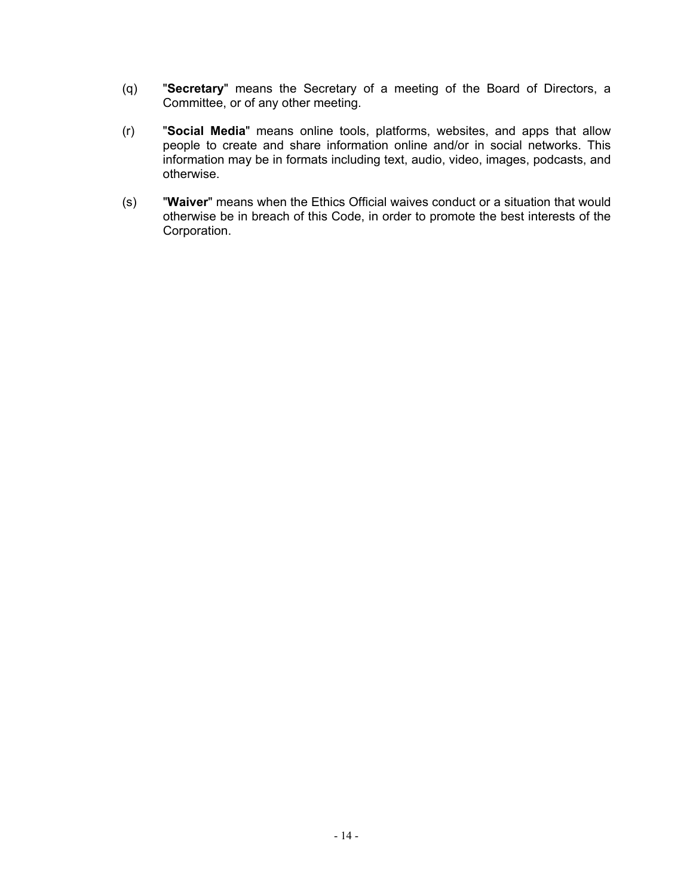- (q) "**Secretary**" means the Secretary of a meeting of the Board of Directors, a Committee, or of any other meeting.
- (r) "**Social Media**" means online tools, platforms, websites, and apps that allow people to create and share information online and/or in social networks. This information may be in formats including text, audio, video, images, podcasts, and otherwise.
- (s) "**Waiver**" means when the Ethics Official waives conduct or a situation that would otherwise be in breach of this Code, in order to promote the best interests of the Corporation.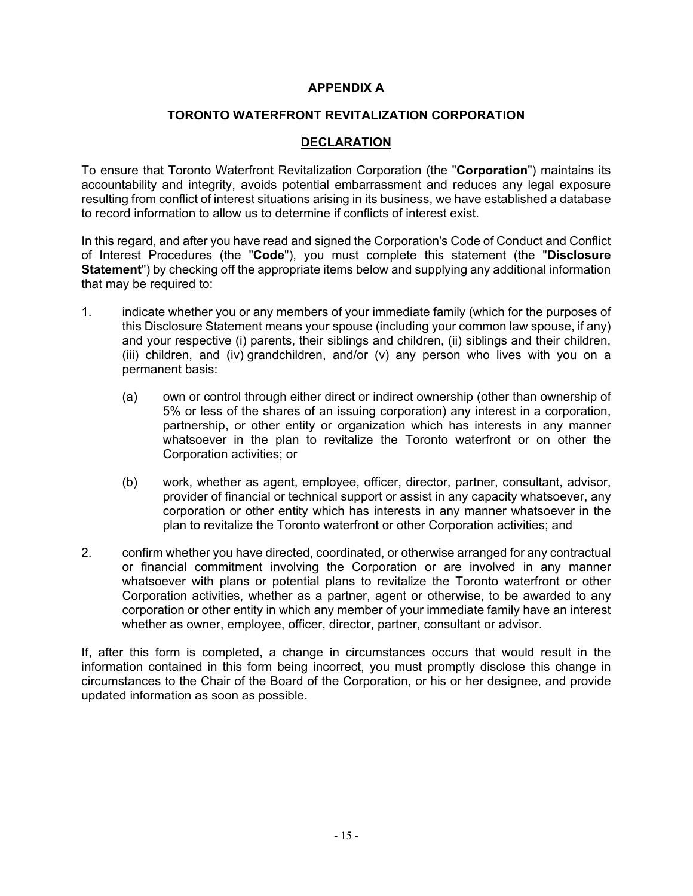#### **APPENDIX A**

#### **TORONTO WATERFRONT REVITALIZATION CORPORATION**

#### **DECLARATION**

To ensure that Toronto Waterfront Revitalization Corporation (the "**Corporation**") maintains its accountability and integrity, avoids potential embarrassment and reduces any legal exposure resulting from conflict of interest situations arising in its business, we have established a database to record information to allow us to determine if conflicts of interest exist.

In this regard, and after you have read and signed the Corporation's Code of Conduct and Conflict of Interest Procedures (the "**Code**"), you must complete this statement (the "**Disclosure Statement**") by checking off the appropriate items below and supplying any additional information that may be required to:

- <span id="page-15-0"></span>1. indicate whether you or any members of your immediate family (which for the purposes of this Disclosure Statement means your spouse (including your common law spouse, if any) and your respective (i) parents, their siblings and children, (ii) siblings and their children, (iii) children, and (iv) grandchildren, and/or (v) any person who lives with you on a permanent basis:
	- (a) own or control through either direct or indirect ownership (other than ownership of 5% or less of the shares of an issuing corporation) any interest in a corporation, partnership, or other entity or organization which has interests in any manner whatsoever in the plan to revitalize the Toronto waterfront or on other the Corporation activities; or
	- (b) work, whether as agent, employee, officer, director, partner, consultant, advisor, provider of financial or technical support or assist in any capacity whatsoever, any corporation or other entity which has interests in any manner whatsoever in the plan to revitalize the Toronto waterfront or other Corporation activities; and
- <span id="page-15-1"></span>2. confirm whether you have directed, coordinated, or otherwise arranged for any contractual or financial commitment involving the Corporation or are involved in any manner whatsoever with plans or potential plans to revitalize the Toronto waterfront or other Corporation activities, whether as a partner, agent or otherwise, to be awarded to any corporation or other entity in which any member of your immediate family have an interest whether as owner, employee, officer, director, partner, consultant or advisor.

If, after this form is completed, a change in circumstances occurs that would result in the information contained in this form being incorrect, you must promptly disclose this change in circumstances to the Chair of the Board of the Corporation, or his or her designee, and provide updated information as soon as possible.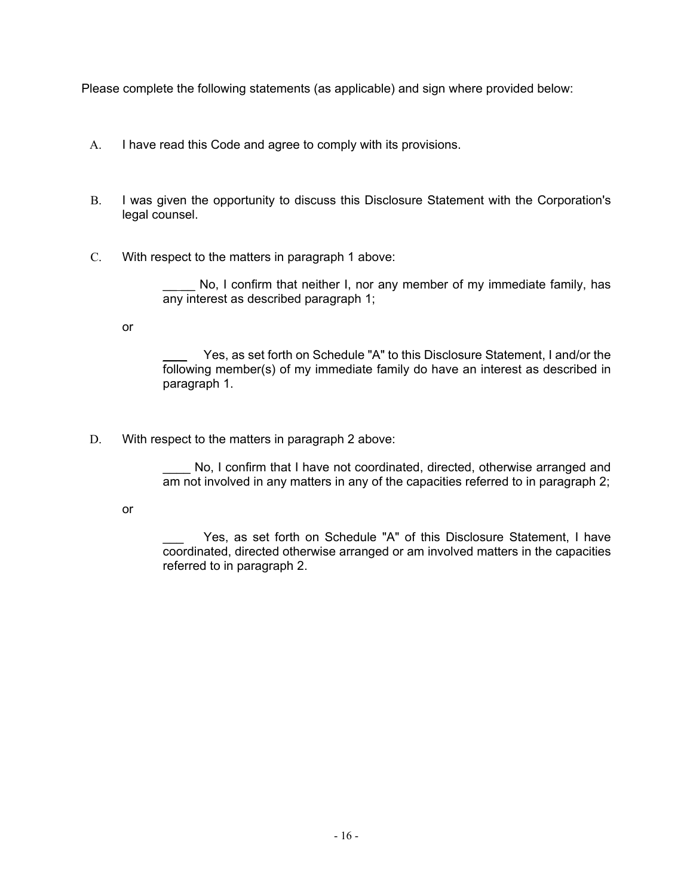Please complete the following statements (as applicable) and sign where provided below:

- A. I have read this Code and agree to comply with its provisions.
- B. I was given the opportunity to discuss this Disclosure Statement with the Corporation's legal counsel.
- C. With respect to the matters in paragraph [1](#page-15-0) above:

\_\_ \_\_ No, I confirm that neither I, nor any member of my immediate family, has any interest as described paragraph [1;](#page-15-0)

or

Yes, as set forth on Schedule "A" to this Disclosure Statement, I and/or the following member(s) of my immediate family do have an interest as described in paragraph [1.](#page-15-0)

D. With respect to the matters in paragraph [2](#page-15-1) above:

No, I confirm that I have not coordinated, directed, otherwise arranged and am not involved in any matters in any of the capacities referred to in paragraph [2;](#page-15-1)

or

Yes, as set forth on Schedule "A" of this Disclosure Statement, I have coordinated, directed otherwise arranged or am involved matters in the capacities referred to in paragraph [2.](#page-15-1)